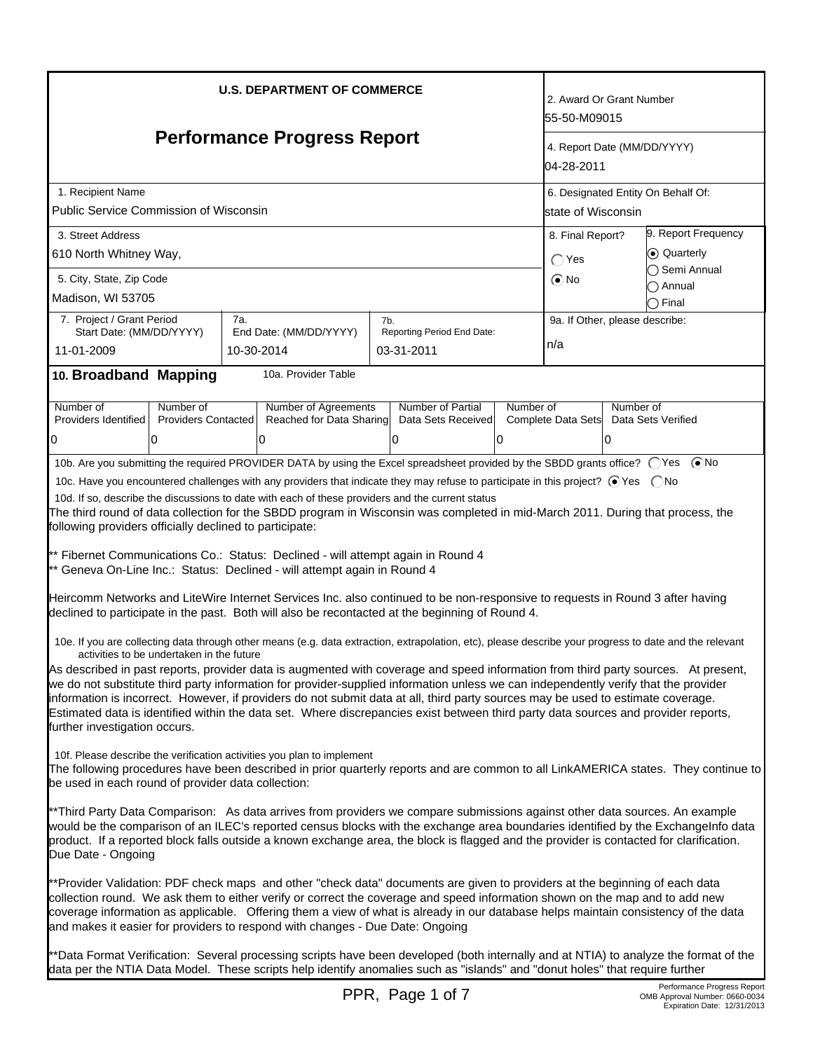| <b>U.S. DEPARTMENT OF COMMERCE</b>                                                                                                                                                                                                                                                                                                                                                                                                                                                                                                                                                   |                                           |     |                                                                                                                                                              |     |                                         | 2. Award Or Grant Number<br>55-50-M09015  |                                               |                                                                                                                                                        |  |
|--------------------------------------------------------------------------------------------------------------------------------------------------------------------------------------------------------------------------------------------------------------------------------------------------------------------------------------------------------------------------------------------------------------------------------------------------------------------------------------------------------------------------------------------------------------------------------------|-------------------------------------------|-----|--------------------------------------------------------------------------------------------------------------------------------------------------------------|-----|-----------------------------------------|-------------------------------------------|-----------------------------------------------|--------------------------------------------------------------------------------------------------------------------------------------------------------|--|
| <b>Performance Progress Report</b>                                                                                                                                                                                                                                                                                                                                                                                                                                                                                                                                                   |                                           |     |                                                                                                                                                              |     |                                         | 4. Report Date (MM/DD/YYYY)<br>04-28-2011 |                                               |                                                                                                                                                        |  |
| 1. Recipient Name                                                                                                                                                                                                                                                                                                                                                                                                                                                                                                                                                                    |                                           |     |                                                                                                                                                              |     |                                         |                                           | 6. Designated Entity On Behalf Of:            |                                                                                                                                                        |  |
| Public Service Commission of Wisconsin                                                                                                                                                                                                                                                                                                                                                                                                                                                                                                                                               |                                           |     |                                                                                                                                                              |     |                                         |                                           | lstate of Wisconsin                           |                                                                                                                                                        |  |
| 3. Street Address                                                                                                                                                                                                                                                                                                                                                                                                                                                                                                                                                                    |                                           |     |                                                                                                                                                              |     |                                         |                                           | 9. Report Frequency<br>8. Final Report?       |                                                                                                                                                        |  |
| 610 North Whitney Way,                                                                                                                                                                                                                                                                                                                                                                                                                                                                                                                                                               |                                           |     |                                                                                                                                                              |     |                                         |                                           | ⊙ Quarterly<br>$\bigcap$ Yes<br>◯ Semi Annual |                                                                                                                                                        |  |
| 5. City, State, Zip Code                                                                                                                                                                                                                                                                                                                                                                                                                                                                                                                                                             |                                           |     |                                                                                                                                                              |     |                                         |                                           | $\odot$ No                                    | Annual                                                                                                                                                 |  |
| Madison, WI 53705                                                                                                                                                                                                                                                                                                                                                                                                                                                                                                                                                                    |                                           |     |                                                                                                                                                              |     |                                         |                                           |                                               | ◯ Final                                                                                                                                                |  |
| 7. Project / Grant Period<br>Start Date: (MM/DD/YYYY)                                                                                                                                                                                                                                                                                                                                                                                                                                                                                                                                |                                           | 7a. | End Date: (MM/DD/YYYY)                                                                                                                                       | 7b. | Reporting Period End Date:              |                                           |                                               | 9a. If Other, please describe:                                                                                                                         |  |
| 11-01-2009                                                                                                                                                                                                                                                                                                                                                                                                                                                                                                                                                                           |                                           |     | 10-30-2014                                                                                                                                                   |     | 03-31-2011                              |                                           | n/a                                           |                                                                                                                                                        |  |
| 10. Broadband Mapping                                                                                                                                                                                                                                                                                                                                                                                                                                                                                                                                                                |                                           |     | 10a. Provider Table                                                                                                                                          |     |                                         |                                           |                                               |                                                                                                                                                        |  |
|                                                                                                                                                                                                                                                                                                                                                                                                                                                                                                                                                                                      |                                           |     |                                                                                                                                                              |     |                                         |                                           |                                               |                                                                                                                                                        |  |
| Number of<br>Providers Identified                                                                                                                                                                                                                                                                                                                                                                                                                                                                                                                                                    | Number of<br><b>Providers Contacted</b>   |     | <b>Number of Agreements</b><br>Reached for Data Sharing                                                                                                      |     | Number of Partial<br>Data Sets Received | Number of                                 | Complete Data Sets                            | Number of<br>Data Sets Verified                                                                                                                        |  |
| 0                                                                                                                                                                                                                                                                                                                                                                                                                                                                                                                                                                                    | 10                                        |     | 0                                                                                                                                                            |     | 0                                       | 0                                         |                                               | 10                                                                                                                                                     |  |
|                                                                                                                                                                                                                                                                                                                                                                                                                                                                                                                                                                                      |                                           |     |                                                                                                                                                              |     |                                         |                                           |                                               | 10b. Are you submitting the required PROVIDER DATA by using the Excel spreadsheet provided by the SBDD grants office? ○Yes ●No                         |  |
|                                                                                                                                                                                                                                                                                                                                                                                                                                                                                                                                                                                      |                                           |     | 10c. Have you encountered challenges with any providers that indicate they may refuse to participate in this project? ⊙Yes  ONo                              |     |                                         |                                           |                                               |                                                                                                                                                        |  |
|                                                                                                                                                                                                                                                                                                                                                                                                                                                                                                                                                                                      |                                           |     | 10d. If so, describe the discussions to date with each of these providers and the current status                                                             |     |                                         |                                           |                                               |                                                                                                                                                        |  |
|                                                                                                                                                                                                                                                                                                                                                                                                                                                                                                                                                                                      |                                           |     |                                                                                                                                                              |     |                                         |                                           |                                               | The third round of data collection for the SBDD program in Wisconsin was completed in mid-March 2011. During that process, the                         |  |
| following providers officially declined to participate:                                                                                                                                                                                                                                                                                                                                                                                                                                                                                                                              |                                           |     |                                                                                                                                                              |     |                                         |                                           |                                               |                                                                                                                                                        |  |
|                                                                                                                                                                                                                                                                                                                                                                                                                                                                                                                                                                                      |                                           |     | ** Fibernet Communications Co.: Status: Declined - will attempt again in Round 4<br>** Geneva On-Line Inc.: Status: Declined - will attempt again in Round 4 |     |                                         |                                           |                                               |                                                                                                                                                        |  |
|                                                                                                                                                                                                                                                                                                                                                                                                                                                                                                                                                                                      |                                           |     | declined to participate in the past. Both will also be recontacted at the beginning of Round 4.                                                              |     |                                         |                                           |                                               | Heircomm Networks and LiteWire Internet Services Inc. also continued to be non-responsive to requests in Round 3 after having                          |  |
|                                                                                                                                                                                                                                                                                                                                                                                                                                                                                                                                                                                      | activities to be undertaken in the future |     |                                                                                                                                                              |     |                                         |                                           |                                               | 10e. If you are collecting data through other means (e.g. data extraction, extrapolation, etc), please describe your progress to date and the relevant |  |
| As described in past reports, provider data is augmented with coverage and speed information from third party sources. At present,<br>we do not substitute third party information for provider-supplied information unless we can independently verify that the provider<br>information is incorrect. However, if providers do not submit data at all, third party sources may be used to estimate coverage.<br>Estimated data is identified within the data set. Where discrepancies exist between third party data sources and provider reports,<br>further investigation occurs. |                                           |     |                                                                                                                                                              |     |                                         |                                           |                                               |                                                                                                                                                        |  |
| 10f. Please describe the verification activities you plan to implement<br>The following procedures have been described in prior quarterly reports and are common to all LinkAMERICA states. They continue to<br>be used in each round of provider data collection:                                                                                                                                                                                                                                                                                                                   |                                           |     |                                                                                                                                                              |     |                                         |                                           |                                               |                                                                                                                                                        |  |
| **Third Party Data Comparison: As data arrives from providers we compare submissions against other data sources. An example<br>would be the comparison of an ILEC's reported census blocks with the exchange area boundaries identified by the Exchangelnfo data<br>product. If a reported block falls outside a known exchange area, the block is flagged and the provider is contacted for clarification.<br>Due Date - Ongoing                                                                                                                                                    |                                           |     |                                                                                                                                                              |     |                                         |                                           |                                               |                                                                                                                                                        |  |
| **Provider Validation: PDF check maps and other "check data" documents are given to providers at the beginning of each data<br>collection round. We ask them to either verify or correct the coverage and speed information shown on the map and to add new<br>coverage information as applicable. Offering them a view of what is already in our database helps maintain consistency of the data<br>and makes it easier for providers to respond with changes - Due Date: Ongoing                                                                                                   |                                           |     |                                                                                                                                                              |     |                                         |                                           |                                               |                                                                                                                                                        |  |
|                                                                                                                                                                                                                                                                                                                                                                                                                                                                                                                                                                                      |                                           |     | data per the NTIA Data Model. These scripts help identify anomalies such as "islands" and "donut holes" that require further                                 |     |                                         |                                           |                                               | **Data Format Verification: Several processing scripts have been developed (both internally and at NTIA) to analyze the format of the                  |  |
|                                                                                                                                                                                                                                                                                                                                                                                                                                                                                                                                                                                      |                                           |     |                                                                                                                                                              |     | PPR, Page 1 of 7                        |                                           |                                               | Performance Progress Report<br>OMB Approval Number: 0660-0034                                                                                          |  |

PR, Page 1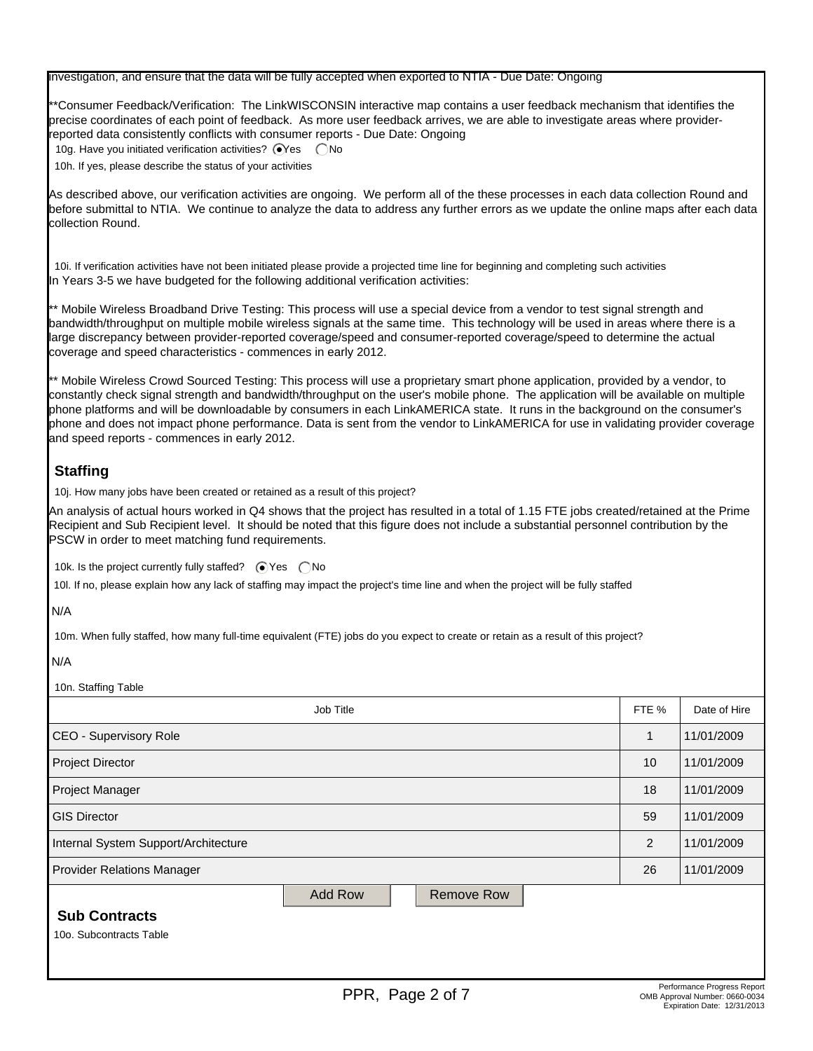| investigation, and ensure that the data will be fully accepted when exported to NTIA - Due Date: Ongoing |  |  |  |
|----------------------------------------------------------------------------------------------------------|--|--|--|

\*\*Consumer Feedback/Verification: The LinkWISCONSIN interactive map contains a user feedback mechanism that identifies the precise coordinates of each point of feedback. As more user feedback arrives, we are able to investigate areas where providerreported data consistently conflicts with consumer reports - Due Date: Ongoing

10g. Have you initiated verification activities?  $\bigcirc$ Yes  $\bigcirc$ No 10h. If yes, please describe the status of your activities

As described above, our verification activities are ongoing. We perform all of the these processes in each data collection Round and before submittal to NTIA. We continue to analyze the data to address any further errors as we update the online maps after each data collection Round.

10i. If verification activities have not been initiated please provide a projected time line for beginning and completing such activities In Years 3-5 we have budgeted for the following additional verification activities:

\*\* Mobile Wireless Broadband Drive Testing: This process will use a special device from a vendor to test signal strength and bandwidth/throughput on multiple mobile wireless signals at the same time. This technology will be used in areas where there is a large discrepancy between provider-reported coverage/speed and consumer-reported coverage/speed to determine the actual coverage and speed characteristics - commences in early 2012.

\*\* Mobile Wireless Crowd Sourced Testing: This process will use a proprietary smart phone application, provided by a vendor, to constantly check signal strength and bandwidth/throughput on the user's mobile phone. The application will be available on multiple phone platforms and will be downloadable by consumers in each LinkAMERICA state. It runs in the background on the consumer's phone and does not impact phone performance. Data is sent from the vendor to LinkAMERICA for use in validating provider coverage and speed reports - commences in early 2012.

# **Staffing**

10j. How many jobs have been created or retained as a result of this project?

An analysis of actual hours worked in Q4 shows that the project has resulted in a total of 1.15 FTE jobs created/retained at the Prime Recipient and Sub Recipient level. It should be noted that this figure does not include a substantial personnel contribution by the PSCW in order to meet matching fund requirements.

10k. Is the project currently fully staffed?  $\bigcirc$  Yes  $\bigcirc$  No

10l. If no, please explain how any lack of staffing may impact the project's time line and when the project will be fully staffed

#### N/A

10m. When fully staffed, how many full-time equivalent (FTE) jobs do you expect to create or retain as a result of this project?

#### N/A

10n. Staffing Table

| Job Title                                       |                |  |                   |  | FTE % | Date of Hire |
|-------------------------------------------------|----------------|--|-------------------|--|-------|--------------|
| CEO - Supervisory Role                          |                |  |                   |  | 1     | 11/01/2009   |
| <b>Project Director</b>                         |                |  |                   |  | 10    | 11/01/2009   |
| Project Manager                                 |                |  |                   |  | 18    | 11/01/2009   |
| <b>GIS Director</b>                             |                |  |                   |  | 59    | 11/01/2009   |
| Internal System Support/Architecture            |                |  |                   |  | 2     | 11/01/2009   |
| <b>Provider Relations Manager</b>               |                |  |                   |  | 26    | 11/01/2009   |
| <b>Sub Contracts</b><br>10o. Subcontracts Table | <b>Add Row</b> |  | <b>Remove Row</b> |  |       |              |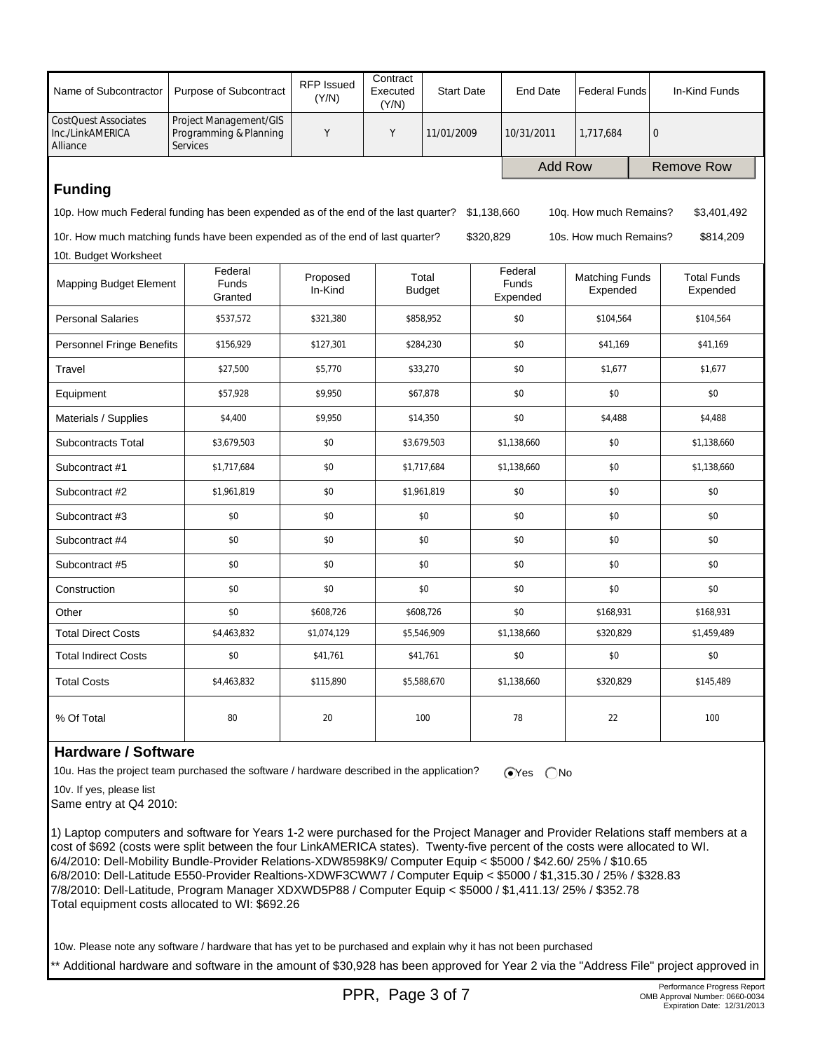| Name of Subcontractor                                                                                                       | Purpose of Subcontract                                              | <b>RFP Issued</b><br>(Y/N) | Contract<br>Executed<br>(Y/N) | <b>Start Date</b>      |                              | <b>End Date</b> | <b>Federal Funds</b>              |              | In-Kind Funds                  |
|-----------------------------------------------------------------------------------------------------------------------------|---------------------------------------------------------------------|----------------------------|-------------------------------|------------------------|------------------------------|-----------------|-----------------------------------|--------------|--------------------------------|
| <b>CostQuest Associates</b><br>Inc./LinkAMERICA<br>Alliance                                                                 | Project Management/GIS<br>Programming & Planning<br><b>Services</b> |                            | Y                             | 11/01/2009             |                              | 10/31/2011      | 1,717,684                         | $\mathbf{0}$ |                                |
|                                                                                                                             |                                                                     |                            |                               |                        |                              | <b>Add Row</b>  |                                   |              | <b>Remove Row</b>              |
| <b>Funding</b>                                                                                                              |                                                                     |                            |                               |                        |                              |                 |                                   |              |                                |
| 10p. How much Federal funding has been expended as of the end of the last quarter?<br>\$1,138,660<br>10g. How much Remains? |                                                                     |                            |                               |                        |                              |                 | \$3,401,492                       |              |                                |
| 10r. How much matching funds have been expended as of the end of last quarter?                                              |                                                                     |                            |                               |                        | \$320,829                    |                 | 10s. How much Remains?            |              | \$814,209                      |
| 10t. Budget Worksheet                                                                                                       |                                                                     |                            |                               |                        |                              |                 |                                   |              |                                |
| Mapping Budget Element                                                                                                      | Federal<br><b>Funds</b><br>Granted                                  | Proposed<br>In-Kind        |                               | Total<br><b>Budget</b> | Federal<br>Funds<br>Expended |                 | <b>Matching Funds</b><br>Expended |              | <b>Total Funds</b><br>Expended |
| <b>Personal Salaries</b>                                                                                                    | \$537,572                                                           | \$321,380                  |                               | \$858,952              |                              | \$0             | \$104,564                         |              | \$104,564                      |
| <b>Personnel Fringe Benefits</b>                                                                                            | \$156,929                                                           | \$127,301                  |                               | \$284,230              |                              | \$0             | \$41,169                          |              | \$41,169                       |
| Travel                                                                                                                      | \$27,500                                                            | \$5,770                    |                               | \$33,270               |                              | \$0             | \$1,677                           |              | \$1,677                        |
| Equipment                                                                                                                   | \$57,928                                                            | \$9,950                    |                               | \$67,878               |                              | \$0             | \$0                               |              | \$0                            |
| Materials / Supplies                                                                                                        | \$4,400                                                             | \$9,950                    |                               | \$14,350               |                              | \$0             | \$4,488                           |              | \$4,488                        |
| <b>Subcontracts Total</b>                                                                                                   | \$3,679,503                                                         | \$0                        |                               | \$3,679,503            |                              | \$1,138,660     | \$0                               |              | \$1,138,660                    |
| Subcontract #1                                                                                                              | \$1,717,684                                                         | \$0                        |                               | \$1,717,684            |                              | \$1,138,660     | \$0                               |              | \$1,138,660                    |
| Subcontract #2                                                                                                              | \$1,961,819                                                         | \$0                        |                               | \$1,961,819            |                              | \$0             | \$0                               |              | \$0                            |
| Subcontract #3                                                                                                              | \$0                                                                 | \$0                        |                               | \$0                    |                              | \$0             | \$0                               |              | \$0                            |
| Subcontract #4                                                                                                              | \$0                                                                 | \$0                        |                               | \$0                    |                              | \$0             | \$0                               |              | \$0                            |
| Subcontract #5                                                                                                              | \$0                                                                 | \$0                        |                               | \$0                    |                              | \$0             | \$0                               |              | \$0                            |
| Construction                                                                                                                | \$0                                                                 | \$0                        |                               | \$0                    |                              | \$0             | \$0                               |              | \$0                            |
| Other                                                                                                                       | \$0                                                                 | \$608,726                  |                               | \$608,726              |                              | \$0             | \$168,931                         |              | \$168,931                      |
| <b>Total Direct Costs</b>                                                                                                   | \$4,463,832                                                         | \$1,074,129                |                               | \$5,546,909            |                              | \$1,138,660     | \$320,829                         |              | \$1,459,489                    |
| <b>Total Indirect Costs</b>                                                                                                 | \$0                                                                 | \$41,761                   |                               | \$41,761               |                              | \$0             | \$0                               |              | \$0                            |
| <b>Total Costs</b>                                                                                                          | \$4,463,832                                                         | \$115,890                  |                               | \$5,588,670            |                              | \$1,138,660     | \$320,829                         |              | \$145,489                      |
| % Of Total                                                                                                                  | 80                                                                  | 20                         |                               | 100                    |                              | 78              | 22                                |              | 100                            |

### **Hardware / Software**

10u. Has the project team purchased the software / hardware described in the application?  $\bigcirc$ Yes  $\bigcirc$ No

10v. If yes, please list

Same entry at Q4 2010:

1) Laptop computers and software for Years 1-2 were purchased for the Project Manager and Provider Relations staff members at a cost of \$692 (costs were split between the four LinkAMERICA states). Twenty-five percent of the costs were allocated to WI. 6/4/2010: Dell-Mobility Bundle-Provider Relations-XDW8598K9/ Computer Equip < \$5000 / \$42.60/ 25% / \$10.65 6/8/2010: Dell-Latitude E550-Provider Realtions-XDWF3CWW7 / Computer Equip < \$5000 / \$1,315.30 / 25% / \$328.83 7/8/2010: Dell-Latitude, Program Manager XDXWD5P88 / Computer Equip < \$5000 / \$1,411.13/ 25% / \$352.78 Total equipment costs allocated to WI: \$692.26

10w. Please note any software / hardware that has yet to be purchased and explain why it has not been purchased

\*\* Additional hardware and software in the amount of \$30,928 has been approved for Year 2 via the "Address File" project approved in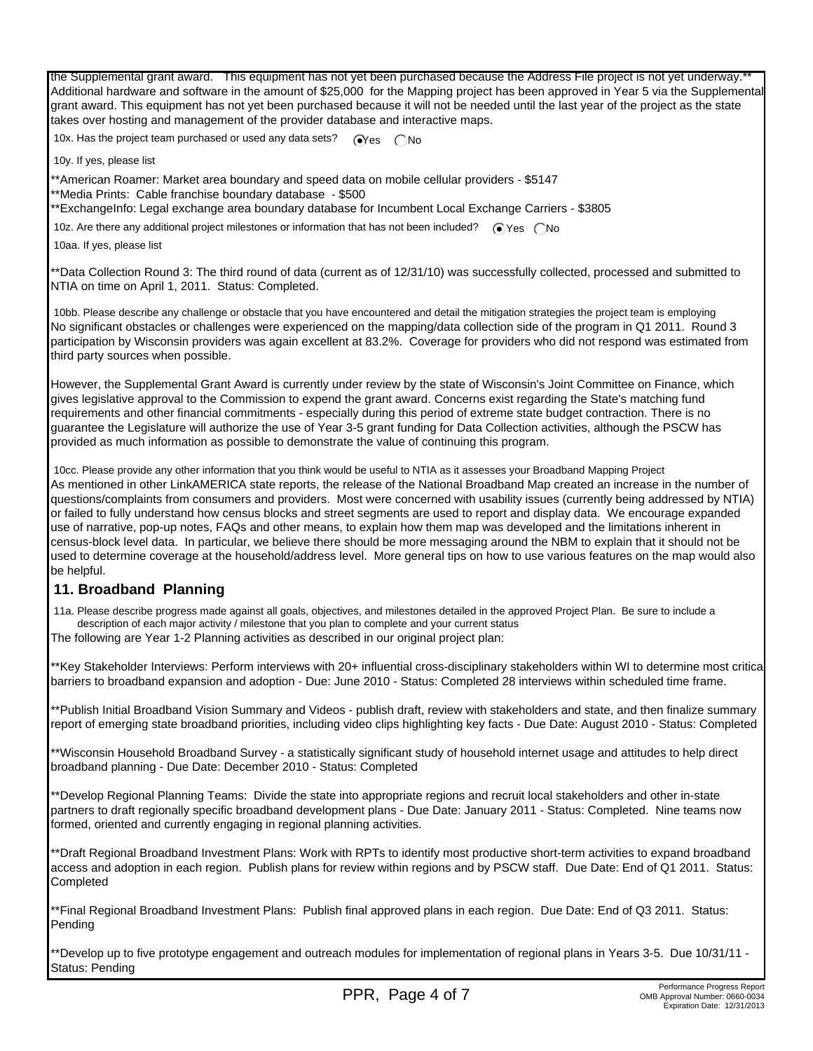the Supplemental grant award. This equipment has not yet been purchased because the Address File project is not yet underway. Additional hardware and software in the amount of \$25,000 for the Mapping project has been approved in Year 5 via the Supplemental grant award. This equipment has not yet been purchased because it will not be needed until the last year of the project as the state takes over hosting and management of the provider database and interactive maps.

10x. Has the project team purchased or used any data sets?  $\bigcirc$ Yes  $\bigcirc$  No

10y. If yes, please list

\*\*American Roamer: Market area boundary and speed data on mobile cellular providers - \$5147

\*\*Media Prints: Cable franchise boundary database - \$500

\*\*ExchangeInfo: Legal exchange area boundary database for Incumbent Local Exchange Carriers - \$3805

10z. Are there any additional project milestones or information that has not been included?  $\bigcirc$  Yes  $\bigcirc$  No

10aa. If yes, please list

\*\*Data Collection Round 3: The third round of data (current as of 12/31/10) was successfully collected, processed and submitted to NTIA on time on April 1, 2011. Status: Completed.

 10bb. Please describe any challenge or obstacle that you have encountered and detail the mitigation strategies the project team is employing No significant obstacles or challenges were experienced on the mapping/data collection side of the program in Q1 2011. Round 3 participation by Wisconsin providers was again excellent at 83.2%. Coverage for providers who did not respond was estimated from third party sources when possible.

However, the Supplemental Grant Award is currently under review by the state of Wisconsin's Joint Committee on Finance, which gives legislative approval to the Commission to expend the grant award. Concerns exist regarding the State's matching fund requirements and other financial commitments - especially during this period of extreme state budget contraction. There is no guarantee the Legislature will authorize the use of Year 3-5 grant funding for Data Collection activities, although the PSCW has provided as much information as possible to demonstrate the value of continuing this program.

 10cc. Please provide any other information that you think would be useful to NTIA as it assesses your Broadband Mapping Project As mentioned in other LinkAMERICA state reports, the release of the National Broadband Map created an increase in the number of questions/complaints from consumers and providers. Most were concerned with usability issues (currently being addressed by NTIA) or failed to fully understand how census blocks and street segments are used to report and display data. We encourage expanded use of narrative, pop-up notes, FAQs and other means, to explain how them map was developed and the limitations inherent in census-block level data. In particular, we believe there should be more messaging around the NBM to explain that it should not be used to determine coverage at the household/address level. More general tips on how to use various features on the map would also be helpful.

### **11. Broadband Planning**

 11a. Please describe progress made against all goals, objectives, and milestones detailed in the approved Project Plan. Be sure to include a description of each major activity / milestone that you plan to complete and your current status

The following are Year 1-2 Planning activities as described in our original project plan:

\*\*Key Stakeholder Interviews: Perform interviews with 20+ influential cross-disciplinary stakeholders within WI to determine most critica barriers to broadband expansion and adoption - Due: June 2010 - Status: Completed 28 interviews within scheduled time frame.

\*\*Publish Initial Broadband Vision Summary and Videos - publish draft, review with stakeholders and state, and then finalize summary report of emerging state broadband priorities, including video clips highlighting key facts - Due Date: August 2010 - Status: Completed

\*\*Wisconsin Household Broadband Survey - a statistically significant study of household internet usage and attitudes to help direct broadband planning - Due Date: December 2010 - Status: Completed

\*\*Develop Regional Planning Teams: Divide the state into appropriate regions and recruit local stakeholders and other in-state partners to draft regionally specific broadband development plans - Due Date: January 2011 - Status: Completed. Nine teams now formed, oriented and currently engaging in regional planning activities.

\*\*Draft Regional Broadband Investment Plans: Work with RPTs to identify most productive short-term activities to expand broadband access and adoption in each region. Publish plans for review within regions and by PSCW staff. Due Date: End of Q1 2011. Status: **Completed** 

\*\*Final Regional Broadband Investment Plans: Publish final approved plans in each region. Due Date: End of Q3 2011. Status: Pending

\*\*Develop up to five prototype engagement and outreach modules for implementation of regional plans in Years 3-5. Due 10/31/11 - Status: Pending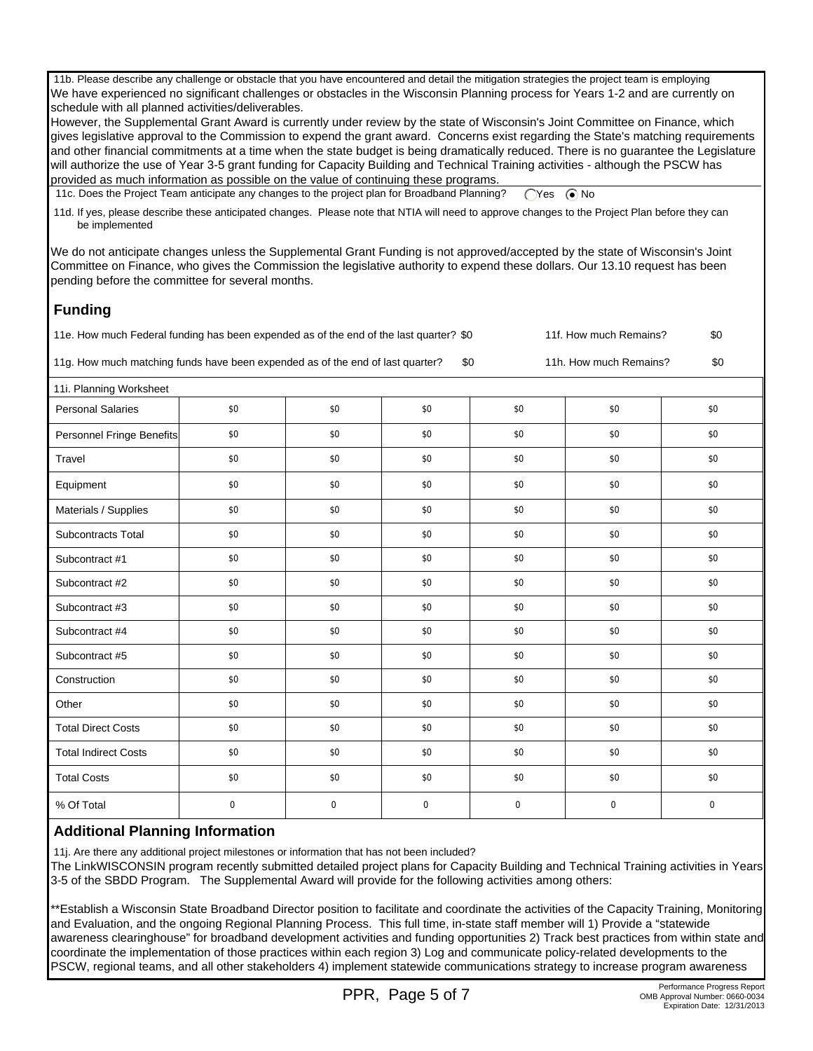11b. Please describe any challenge or obstacle that you have encountered and detail the mitigation strategies the project team is employing We have experienced no significant challenges or obstacles in the Wisconsin Planning process for Years 1-2 and are currently on schedule with all planned activities/deliverables.

However, the Supplemental Grant Award is currently under review by the state of Wisconsin's Joint Committee on Finance, which gives legislative approval to the Commission to expend the grant award. Concerns exist regarding the State's matching requirements and other financial commitments at a time when the state budget is being dramatically reduced. There is no guarantee the Legislature will authorize the use of Year 3-5 grant funding for Capacity Building and Technical Training activities - although the PSCW has provided as much information as possible on the value of continuing these programs.

11c. Does the Project Team anticipate any changes to the project plan for Broadband Planning? (Yes (a) No

 11d. If yes, please describe these anticipated changes. Please note that NTIA will need to approve changes to the Project Plan before they can be implemented

We do not anticipate changes unless the Supplemental Grant Funding is not approved/accepted by the state of Wisconsin's Joint Committee on Finance, who gives the Commission the legislative authority to expend these dollars. Our 13.10 request has been pending before the committee for several months.

# **Funding**

| 11e. How much Federal funding has been expended as of the end of the last quarter? \$0 | 11f. How much Remains? | \$0 |
|----------------------------------------------------------------------------------------|------------------------|-----|
|----------------------------------------------------------------------------------------|------------------------|-----|

11g. How much matching funds have been expended as of the end of last quarter? \$0 11h. How much Remains? \$0

| 11i. Planning Worksheet     |     |     |             |     |     |     |
|-----------------------------|-----|-----|-------------|-----|-----|-----|
| <b>Personal Salaries</b>    | \$0 | \$0 | \$0         | \$0 | \$0 | \$0 |
| Personnel Fringe Benefits   | \$0 | \$0 | \$0         | \$0 | \$0 | \$0 |
| Travel                      | \$0 | \$0 | \$0         | \$0 | \$0 | \$0 |
| Equipment                   | \$0 | \$0 | \$0         | \$0 | \$0 | \$0 |
| Materials / Supplies        | \$0 | \$0 | \$0         | \$0 | \$0 | \$0 |
| Subcontracts Total          | \$0 | \$0 | \$0         | \$0 | \$0 | \$0 |
| Subcontract #1              | \$0 | \$0 | \$0         | \$0 | \$0 | \$0 |
| Subcontract #2              | \$0 | \$0 | \$0         | \$0 | \$0 | \$0 |
| Subcontract #3              | \$0 | \$0 | \$0         | \$0 | \$0 | \$0 |
| Subcontract #4              | \$0 | \$0 | \$0         | \$0 | \$0 | \$0 |
| Subcontract #5              | \$0 | \$0 | \$0         | \$0 | \$0 | \$0 |
| Construction                | \$0 | \$0 | \$0         | \$0 | \$0 | \$0 |
| Other                       | \$0 | \$0 | \$0         | \$0 | \$0 | \$0 |
| <b>Total Direct Costs</b>   | \$0 | \$0 | \$0         | \$0 | \$0 | \$0 |
| <b>Total Indirect Costs</b> | \$0 | \$0 | \$0         | \$0 | \$0 | \$0 |
| <b>Total Costs</b>          | \$0 | \$0 | \$0         | \$0 | \$0 | \$0 |
| % Of Total                  | 0   | 0   | $\mathbf 0$ | 0   | 0   | 0   |
|                             |     |     |             |     |     |     |

### **Additional Planning Information**

11j. Are there any additional project milestones or information that has not been included?

The LinkWISCONSIN program recently submitted detailed project plans for Capacity Building and Technical Training activities in Years 3-5 of the SBDD Program. The Supplemental Award will provide for the following activities among others:

\*\*Establish a Wisconsin State Broadband Director position to facilitate and coordinate the activities of the Capacity Training, Monitoring and Evaluation, and the ongoing Regional Planning Process. This full time, in-state staff member will 1) Provide a "statewide awareness clearinghouse" for broadband development activities and funding opportunities 2) Track best practices from within state and coordinate the implementation of those practices within each region 3) Log and communicate policy-related developments to the PSCW, regional teams, and all other stakeholders 4) implement statewide communications strategy to increase program awareness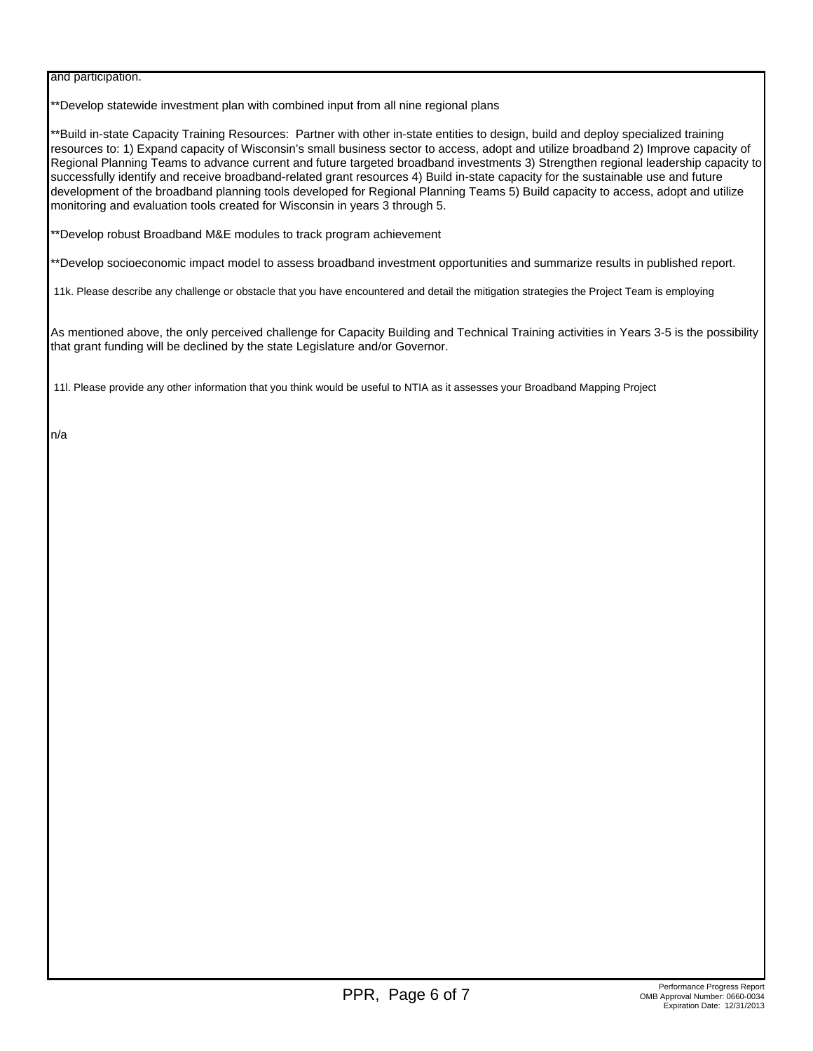and participation.

\*\*Develop statewide investment plan with combined input from all nine regional plans

\*\*Build in-state Capacity Training Resources: Partner with other in-state entities to design, build and deploy specialized training resources to: 1) Expand capacity of Wisconsin's small business sector to access, adopt and utilize broadband 2) Improve capacity of Regional Planning Teams to advance current and future targeted broadband investments 3) Strengthen regional leadership capacity to successfully identify and receive broadband-related grant resources 4) Build in-state capacity for the sustainable use and future development of the broadband planning tools developed for Regional Planning Teams 5) Build capacity to access, adopt and utilize monitoring and evaluation tools created for Wisconsin in years 3 through 5.

\*\*Develop robust Broadband M&E modules to track program achievement

\*\*Develop socioeconomic impact model to assess broadband investment opportunities and summarize results in published report.

11k. Please describe any challenge or obstacle that you have encountered and detail the mitigation strategies the Project Team is employing

As mentioned above, the only perceived challenge for Capacity Building and Technical Training activities in Years 3-5 is the possibility that grant funding will be declined by the state Legislature and/or Governor.

11l. Please provide any other information that you think would be useful to NTIA as it assesses your Broadband Mapping Project

n/a